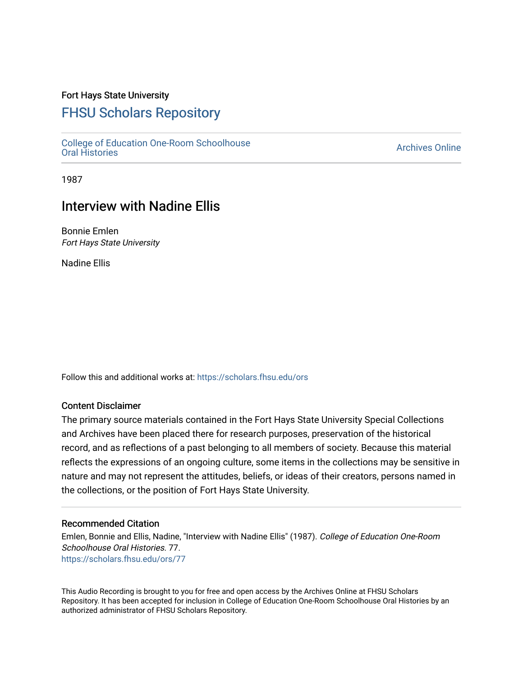## Fort Hays State University

# [FHSU Scholars Repository](https://scholars.fhsu.edu/)

[College of Education One-Room Schoolhouse](https://scholars.fhsu.edu/ors) [Oral Histories](https://scholars.fhsu.edu/ors) [Archives Online](https://scholars.fhsu.edu/archives) 

1987

# Interview with Nadine Ellis

Bonnie Emlen Fort Hays State University

Nadine Ellis

Follow this and additional works at: [https://scholars.fhsu.edu/ors](https://scholars.fhsu.edu/ors?utm_source=scholars.fhsu.edu%2Fors%2F77&utm_medium=PDF&utm_campaign=PDFCoverPages) 

## Content Disclaimer

The primary source materials contained in the Fort Hays State University Special Collections and Archives have been placed there for research purposes, preservation of the historical record, and as reflections of a past belonging to all members of society. Because this material reflects the expressions of an ongoing culture, some items in the collections may be sensitive in nature and may not represent the attitudes, beliefs, or ideas of their creators, persons named in the collections, or the position of Fort Hays State University.

### Recommended Citation

Emlen, Bonnie and Ellis, Nadine, "Interview with Nadine Ellis" (1987). College of Education One-Room Schoolhouse Oral Histories. 77. [https://scholars.fhsu.edu/ors/77](https://scholars.fhsu.edu/ors/77?utm_source=scholars.fhsu.edu%2Fors%2F77&utm_medium=PDF&utm_campaign=PDFCoverPages)

This Audio Recording is brought to you for free and open access by the Archives Online at FHSU Scholars Repository. It has been accepted for inclusion in College of Education One-Room Schoolhouse Oral Histories by an authorized administrator of FHSU Scholars Repository.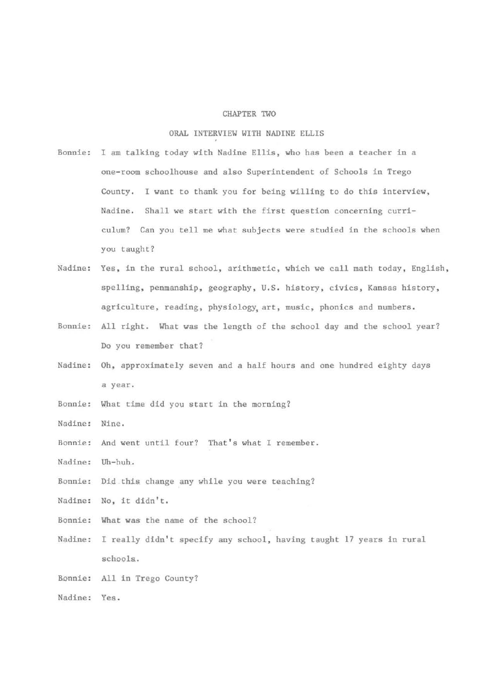#### CHAPTER TWO

### ORAL INTERVIEW WITH NADINE ELLIS

- Bonnie: I am talking today with Nadine Ellis, who has been a teacher in a one-room schoolhouse and also Superintendent of Schools in Trego County. I want to thank you for being willing to do this interview, Nadine. Shall we start with the first question concerning curriculum? Can you tell me what subjects were studied in the schools when you taught?
- Nadine: Yes, in the rural school, arithmetic, which we call math today, English, spelling, penmanship, geography, U.S. history, civics, Kansas history, agriculture, reading, physiology, art, music, phonics and numbers.
- Bonnie: All right. What was the length of the school day and the school year? Do you remember that?
- Nadine: Oh, approximately seven and a half hours and one hundred eighty days a year.
- Bonnie: What time did you start in the morning?
- Nadine: Nine.
- Bonnie: And went until four? That's what I remember.
- Nadine: Uh-huh.
- Bonnie: Did this change any while you were teaching?
- Nadine: No, it didn't.
- Bonnie: What was the name of the school?
- Nadine: I really didn't specify any school, having taught 17 years in rural schools.
- Bonnie: All in Trego County?
- Nadine: Yes.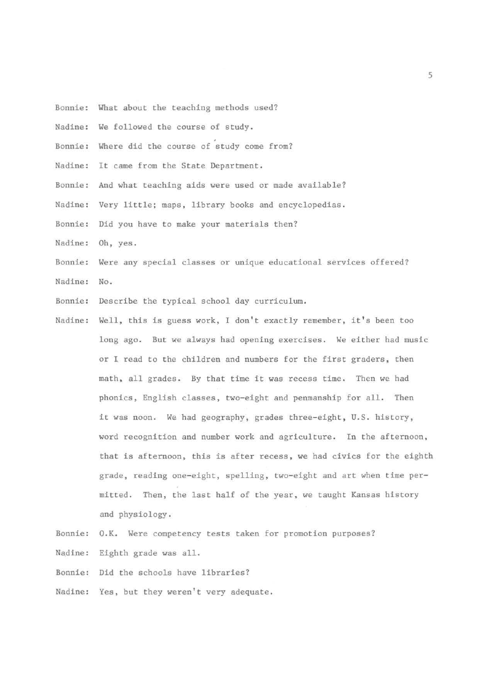- Bonnie: What about the teaching methods used?
- Nadine: We followed the course of study.
- Bonnie: Where did the course of study come from?
- Nadine: It came from the State Department.
- Bonnie: And what teaching aids were used or made available?
- Nadine: Very little; maps, library books and encyclopedias.
- Bonnie: Did you have to make your materials then?
- Nadine: Oh, yes.
- Bonnie: Were any special classes or unique educational services offered?
- Nadine: No.
- Bonnie: Describe the typical school day curriculum.
- Nadine: Well, this is guess work, I don't exactly remember, it's been too long ago. But we always had opening exercises. We either had music or I read to the children and numbers for the first graders, then math, all grades. By that time it was recess time. Then we had phonics, English classes, two-eight and penmanship for all. Then it was noon. We had geography, grades three-eight, U.S. history, word recognition and number work and agriculture. In the afternoon, that is afternoon, this is after recess, we had civics for the eighth grade, reading one-eight, spelling, two-eight and art when time permitted. Then, the last half of the year. we taught Kansas history and physiology.
- Bonnie: O.K. Were competency tests taken for promotion purposes?
- Nadine: Eighth grade was all.
- Bonnie: Did the schools have libraries?
- Nadine: Yes, but they weren't very adequate.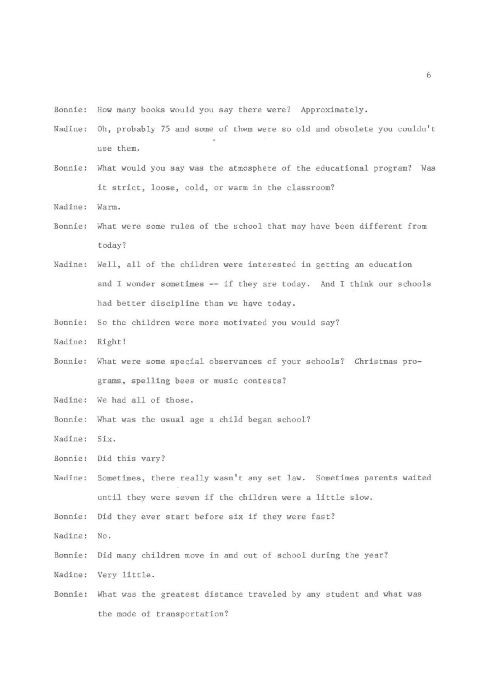Bonnie: How many books would you say there were? Approximately .

- Nadine: Oh, probably 75 and some of them were so old and obsolete you couldn' t use them.
- Bonnie: What would you say was the atmosphere of the educational program? Was it strict, loose, cold, or warm in the classroom?
- Nadine: Warm.
- Bonnie: What were some rules of the school that may have been different from today?
- Nadine: Well, all of the children were interested in getting an education and I wonder sometimes -- if they are today. And I think our schools had better discipline than we have today.
- Bonnie: So the children were more motivated you would say?
- Nadine: Right!
- Bonnie: What were some special observances of your schools? Christmas programs, spelling bees or music contests?
- Nadine: We had all of those.
- Bonnie: What was the usual age a child began school?
- Nadine: Six.
- Bonnie: Did this vary?
- Nadine: Sometimes, there really wasn't any set law. Sometimes parents waited until they were seven if the children were a little slow.

Bonnie: Did they ever start before six if they were fast?

- Nadine: No.
- Bonnie: Did many children move in and out of school during the year?
- Nadine: Very little.
- Bonnie: What was the greatest distance traveled by any student and what was the mode of transportation?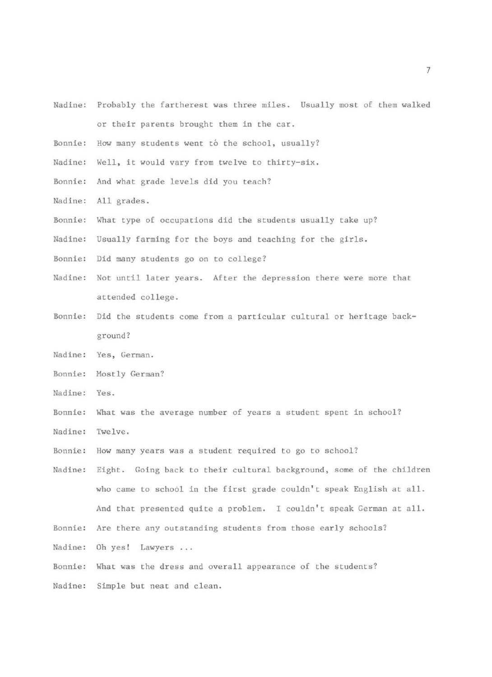- Nadine: Probably the fartherest was three miles. Usually most of them walked or their parents brought them in the car.
- Bonnie: How many students went to the school, usually?
- Nadine: Well, it would vary from twelve to thirty-six.
- Bonnie: And what grade levels did you teach?
- Nadine: All grades.
- Bonnie: What type of occupations did the students usually take up?
- Nadine: Usually farming for the boys and teaching for the girls.
- Bonnie: Did many students go on to college?
- Nadine: Not until later years. After the depression there were more that attended college.
- Bonnie: Did the students come from a particular cultural or heritage backgr ound?
- Nadine: Yes, German.
- Bonnie: Mostly German?
- Nadine: Yes.
- Bonnie: What was the average number of years a student spent in school?
- Nadine: Twelve.
- Bonnie: How many years was a student required to go to school?
- Nadine: Eight. Going back to their cultural background, some of the children who came to school in the first grade couldn't speak English at all. And that presented quite a problem. I couldn't speak German at all.
- Bonnie: Are there any outstanding students from those early schools?
- Nadine: Oh yes! Lawyers . . .
- Bonnie: What was the dress and overall appearance of the students?
- Nadine: Simple but neat and clean.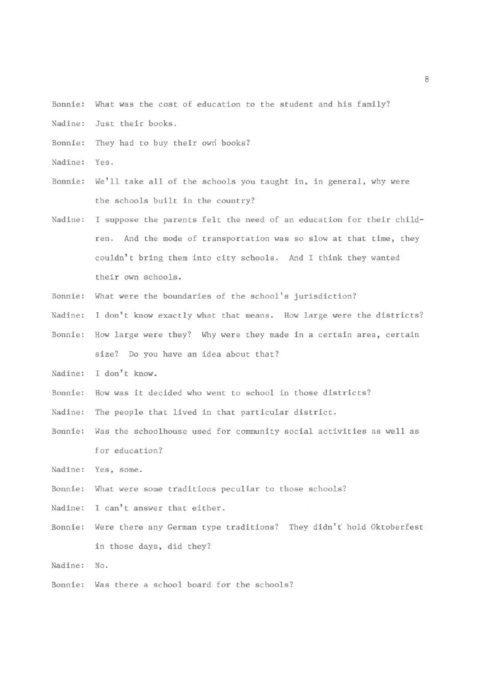- Bonnie: What was the cost of education to the student and his family?
- Nadine: Just their books.
- Bonnie: They had to buy their owri books?
- Nadine: Yes.
- Bonnie: We'll take all of the schools you taught in, in general, why were the schools built in the country?
- Nadine: I suppose the parents felt the need of an education for their children. And the mode of transportation was so slow at that time, they couldn't bring them into city schools. And I think they wanted their own schools.
- Bonnie: What were the boundaries of the school's jurisdiction?
- Nadine: I don't know exactly what that means. How large were the districts?
- Bonnie: How large were they? Why were they made in a certain area, certain size? Do you have an idea about that?
- Nadine: I don't know.
- Bonnie: How was it decided who went to school in those districts?
- Nadine: The people that lived in that particular district.
- Bonnie: Was the schoolhouse used for community social activities as well as for education?
- Nadine: Yes, some.
- Bonnie: What were some traditions peculiar to those schools?
- Nadine: I can't answer that either.
- Bonnie: Were there any German type traditions? They didn't hold Oktoberfest in those days, did they?
- Nadine: No.
- Bonnie: Was there a school board for the schools?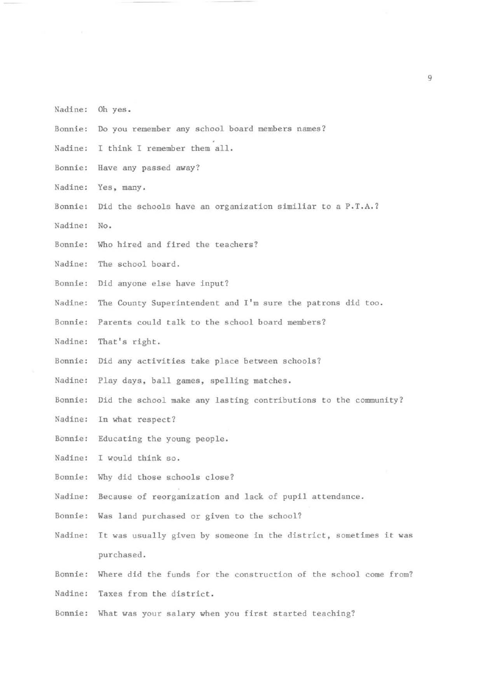- Nadine: Oh yes.
- Bonnie: Do you remember any school board members names?
- Nadine: I think I remember them all.
- Bonnie: Have any passed away?
- Nadine: Yes, many.
- Bonnie: Did the schools have an organization similiar to a P.T.A.?
- Nadine: No.
- Bonnie: Who hired and fired the teachers?
- Nadine: The school board.
- Bonnie: Did anyone else have input?
- Nadine: The County Superintendent and I'm sure the patrons did too.
- Bonnie: Parents could talk to the school board members?
- Nadine: That's right.
- Bonnie: Did any activities take place between schools?
- Nadine: Play days, ball games, spelling matches.
- Bonnie: Did the school make any lasting contributions to the community?
- Nadine: In what respect?
- Bonnie: Educating the young people.
- Nadine: I would think so.
- Bonnie: Why did those schools close?
- Nadine: Because of reorganization and lack of pupil attendance.
- Bonnie: Was land purchased or given to the school?
- Nadine: It was usually given by someone in the district, sometimes it was purchased .
- Bonnie: Where did the funds for the construction of the school come from?
- Nadine: Taxes from the district.
- Bonnie: What was your salary when you first started teaching?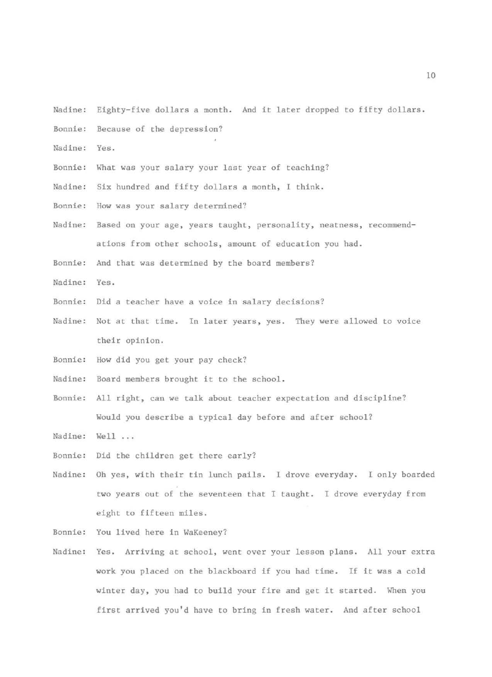- Nadine: Eighty-five dollars a month. And it later dropped to fifty dollars.
- Bonnie: Because of the depression?
- Nadine: Yes.
- Bonnie: What was your salary your last year of teaching?
- Nadine: Six hundred and fifty dollars a month, I think.
- Bonnie: How was your salary determined?
- Nadine: Based on your age, years taught, personality, neatness, recommendations from other schools, amount of education you had.

Bonnie: And that was determined by the board members?

Nadine: Yes.

- Bonnie: Did a teacher have a voice in salary decisions?
- Nadine: Not at that time. In later years, yes. They were allowed to voice their opinion.
- Bonnie: How did you get your pay check?
- Nadine: Board members brought it to the school.
- Bonnie: All right, can we talk about teacher expectation and discipline? Would you describe a typical day before and after school?

Nadine: Well ...

- Bonnie: Did the children get there early?
- Nadine: Oh yes, with their tin lunch pails. I drove everyday. I only boarded two years out of the seventeen that I taught. I drove everyday from eight to fifteen miles.
- Bonnie: You lived here in WaKeeney?
- Nadine: Yes. Arriving at school, went over your lesson plans. All your extra work you placed on the blackboard if you had time. If it was a cold winter day, you had to build your fire and get it started. When you first arrived you'd have to bring in fresh water. And after school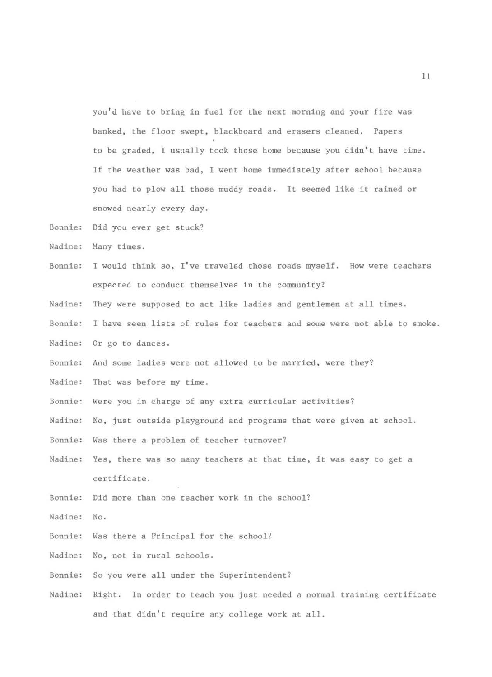you'd have to bring in fuel for the next morning and your fire was banked, the floor swept, blackboard and erasers cleaned. Papers to be graded, I usually took those home because you didn't have time. If the weather was bad, I went home immediately after school because you had to plow all those muddy roads. It seemed like it rained or snowed nearly every day.

- Bonnie: Did you ever get stuck?
- Nadine: Many times.
- Bonnie: I would think so, I've traveled those roads myself. How were teachers expected to conduct themselves in the community?
- Nadine: They were supposed to act like ladies and gentlemen at all times.
- Bonnie: I have seen lists of rules for teachers and some were not able to smoke .
- Nadine: Or go to dances.
- Bonnie: And some ladies were not allowed to be married, were they?
- Nadine: That was before my time.
- Bonnie: Were you in charge of any extra curricular activities?
- Nadine: No, just outside playground and programs that were given at school.
- Bonnie: Was there a problem of teacher turnover?
- Nadine: Yes, there was so many teachers at that time, it was easy to get a certificate.
- Bonnie: Did more than one teacher work in the school?
- Nadine: No.
- Bonnie: Was there a Principal for the school?
- Nadine: No, not in rural schools .
- Bonnie: So you were all under the Superintendent?
- Nadine: Right. In order to teach you just needed a normal training certificate and that didn't require any college work at all.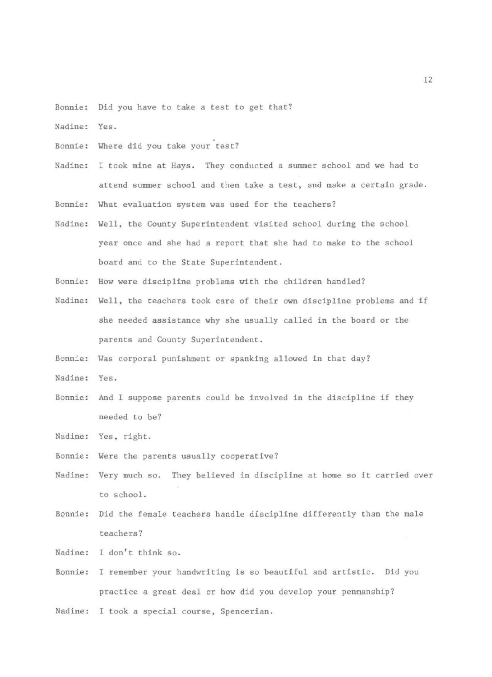Bonnie: Did you have to take a test to get that?

Nadine: Yes.

Bonnie: Where did you take your test?

Nadine: I took mine at Hays. They conducted a summer school and we had to attend summer school and then take a test, and make *a* certain grade.

Bonnie: What evaluation system was used for the teachers?

- Nadine: Well, the County Superintendent visited school during the school year once and she had a report that she had to make to the school board and to the State Superintendent .
- Bonnie: How were discipline problems with the children handled?
- Nadine: Well, the teachers took care of their own discipline problems and if she needed assistance why she usually called in the board or the parents and County Superintendent.

Bonnie: Was corporal punishment or spanking allowed in that day?

Nadine: Yes.

Bonnie: And I suppose parents could be involved in the discipline if they needed to be?

Nadine: Yes, right.

- Bonnie: Were the parents usually cooperative?
- Nadine: Very much so. They believed in discipline at home so it carried over to school.
- Bonnie: Did the female teachers handle discipline differently than the male teachers?
- Nadine: I don't think so.
- Bonnie : I remember your handwriting is so beautiful and artistic. Did you practice a great deal or how did you develop your penmanship?
- Nadine: I took a special course, Spencerian.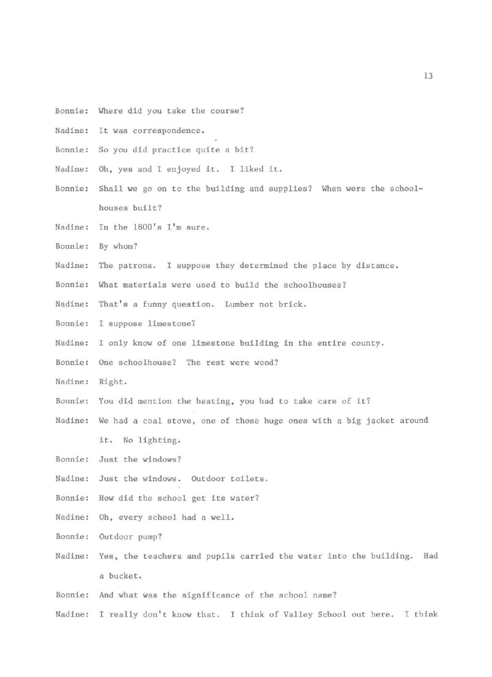- Bonnie: Where did you take the course?
- Nadine: It was correspondence .
- Bonnie: So you did practice quite a bit?
- Nadine: Oh, yes and I enjoyed it. I liked it.
- Bonnie: Shall we go on to the building and supplies? When were the schoolhouses built?
- Nadine: In the 1800's I'm sure.
- Bonnie: By whom?
- Nadine: The patrons. I suppose they determined the place by distance.
- Bonnie: What materials were used to build the schoolhouses?
- Nadine: That's a funny question. Lumber not brick.
- Bonnie: I suppose limestone?
- Nadine: I only know of one limestone building in the entire county.
- Bonnie: One schoolhouse? The rest were wood?
- Nadine: Right.
- Bonnie: You did mention the heating, you had to take care of it?
- Nadine: We had a coal stove, one of those huge ones with a big jacket around it. No lighting.
- Bonnie: Just the windows?
- Nadine: Just the windows. Outdoor toilets.
- Bonnie: How did the school get its water?
- Nadine: Oh, every school had a well.
- Bonnie: Outdoor pump?
- Nadine: Yes, the teachers and pupils carried the water into the building. Had a bucket.
- Bonnie: And what was the significance of the school name?
- Nadine: I really don't know that. I think of Valley School out here. I think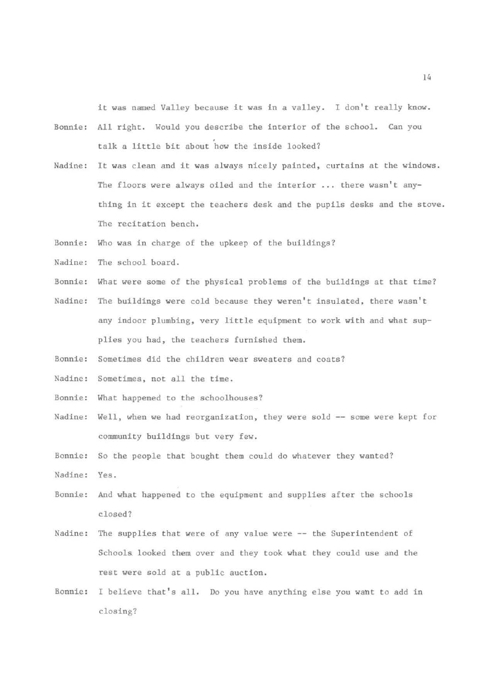it was named Valley because it was in a valley. I don't really know.

- Bonnie: All right. Would you describe the interior of the school. Can you . talk a little bit about how the inside looked?
- Nadine: It was clean and it was always nicely painted, curtains at the windows. The floors were always oiled and the interior ... there wasn't anything in it except the teachers desk and the pupils desks and the stove. The recitation bench.
- Bonnie: Who was in charge of the upkeep of the buildings?
- Nadine: The school board.
- Bonnie: What were some of the physical problems of the buildings at that time?
- Nadine: The buildings were cold because they weren't insulated, there wasn't any indoor plumbing, very little equipment to work with and what supplies you had, the teachers furnished them.
- Bonnie: Sometimes did the children wear sweaters and coats?
- Nadine: Sometimes, not all the time.
- Bonnie: What happened to the schoolhouses?
- Nadine: Well, when we had reorganization, they were sold -- some were kept for community buildings but very few.
- Bonnie: So the people that bought them could do whatever they wanted? Nadine: Yes.
- Bonnie: And what happened to the equipment and supplies after the schools closed?
- Nadine: The supplies that were of any value were -- the Superintendent of Schools looked them over and they took what they could use and the rest were sold at a public auction.
- Ronnie: I believe that's all. Do you have anything else you want to add in closing?